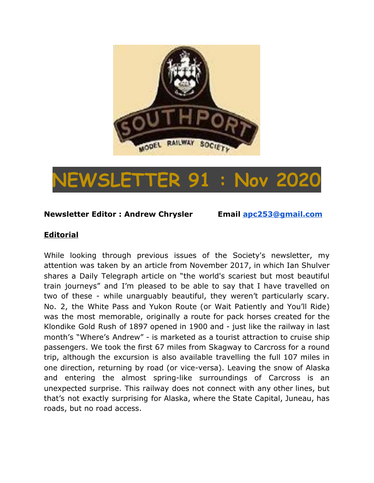

# **NEWSLETTER 91 : Nov 2020**

#### **Newsletter Editor : Andrew Chrysler Email [apc253@gmail.com](mailto:apc253@gmail.com)**

#### **Editorial**

While looking through previous issues of the Society's newsletter, my attention was taken by an article from November 2017, in which Ian Shulver shares a Daily Telegraph article on "the world's scariest but most beautiful train journeys" and I'm pleased to be able to say that I have travelled on two of these - while unarguably beautiful, they weren't particularly scary. No. 2, the White Pass and Yukon Route (or Wait Patiently and You'll Ride) was the most memorable, originally a route for pack horses created for the Klondike Gold Rush of 1897 opened in 1900 and - just like the railway in last month's "Where's Andrew" - is marketed as a tourist attraction to cruise ship passengers. We took the first 67 miles from Skagway to Carcross for a round trip, although the excursion is also available travelling the full 107 miles in one direction, returning by road (or vice-versa). Leaving the snow of Alaska and entering the almost spring-like surroundings of Carcross is an unexpected surprise. This railway does not connect with any other lines, but that's not exactly surprising for Alaska, where the State Capital, Juneau, has roads, but no road access.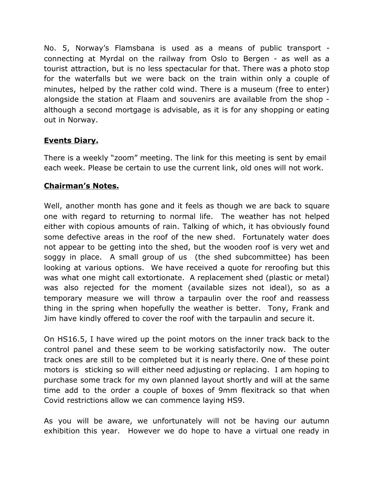No. 5, Norway's Flamsbana is used as a means of public transport connecting at Myrdal on the railway from Oslo to Bergen - as well as a tourist attraction, but is no less spectacular for that. There was a photo stop for the waterfalls but we were back on the train within only a couple of minutes, helped by the rather cold wind. There is a museum (free to enter) alongside the station at Flaam and souvenirs are available from the shop although a second mortgage is advisable, as it is for any shopping or eating out in Norway.

# **Events Diary.**

There is a weekly "zoom" meeting. The link for this meeting is sent by email each week. Please be certain to use the current link, old ones will not work.

# **Chairman's Notes.**

Well, another month has gone and it feels as though we are back to square one with regard to returning to normal life. The weather has not helped either with copious amounts of rain. Talking of which, it has obviously found some defective areas in the roof of the new shed. Fortunately water does not appear to be getting into the shed, but the wooden roof is very wet and soggy in place. A small group of us (the shed subcommittee) has been looking at various options. We have received a quote for reroofing but this was what one might call extortionate. A replacement shed (plastic or metal) was also rejected for the moment (available sizes not ideal), so as a temporary measure we will throw a tarpaulin over the roof and reassess thing in the spring when hopefully the weather is better. Tony, Frank and Jim have kindly offered to cover the roof with the tarpaulin and secure it.

On HS16.5, I have wired up the point motors on the inner track back to the control panel and these seem to be working satisfactorily now. The outer track ones are still to be completed but it is nearly there. One of these point motors is sticking so will either need adjusting or replacing. I am hoping to purchase some track for my own planned layout shortly and will at the same time add to the order a couple of boxes of 9mm flexitrack so that when Covid restrictions allow we can commence laying HS9.

As you will be aware, we unfortunately will not be having our autumn exhibition this year. However we do hope to have a virtual one ready in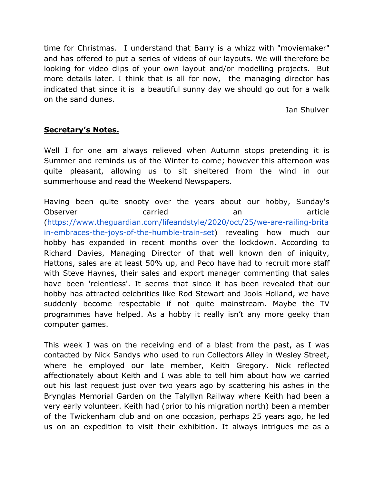time for Christmas. I understand that Barry is a whizz with "moviemaker" and has offered to put a series of videos of our layouts. We will therefore be looking for video clips of your own layout and/or modelling projects. But more details later. I think that is all for now, the managing director has indicated that since it is a beautiful sunny day we should go out for a walk on the sand dunes.

Ian Shulver

#### **Secretary's Notes.**

Well I for one am always relieved when Autumn stops pretending it is Summer and reminds us of the Winter to come; however this afternoon was quite pleasant, allowing us to sit sheltered from the wind in our summerhouse and read the Weekend Newspapers.

Having been quite snooty over the years about our hobby, Sunday's Observer **carried** carried an article [\(https://www.theguardian.com/lifeandstyle/2020/oct/25/we-are-railing-brita](https://www.theguardian.com/lifeandstyle/2020/oct/25/we-are-railing-britain-embraces-the-joys-of-the-humble-train-set) [in-embraces-the-joys-of-the-humble-train-set\)](https://www.theguardian.com/lifeandstyle/2020/oct/25/we-are-railing-britain-embraces-the-joys-of-the-humble-train-set) revealing how much our hobby has expanded in recent months over the lockdown. According to Richard Davies, Managing Director of that well known den of iniquity, Hattons, sales are at least 50% up, and Peco have had to recruit more staff with Steve Haynes, their sales and export manager commenting that sales have been 'relentless'. It seems that since it has been revealed that our hobby has attracted celebrities like Rod Stewart and Jools Holland, we have suddenly become respectable if not quite mainstream. Maybe the TV programmes have helped. As a hobby it really isn't any more geeky than computer games.

This week I was on the receiving end of a blast from the past, as I was contacted by Nick Sandys who used to run Collectors Alley in Wesley Street, where he employed our late member, Keith Gregory. Nick reflected affectionately about Keith and I was able to tell him about how we carried out his last request just over two years ago by scattering his ashes in the Brynglas Memorial Garden on the Talyllyn Railway where Keith had been a very early volunteer. Keith had (prior to his migration north) been a member of the Twickenham club and on one occasion, perhaps 25 years ago, he led us on an expedition to visit their exhibition. It always intrigues me as a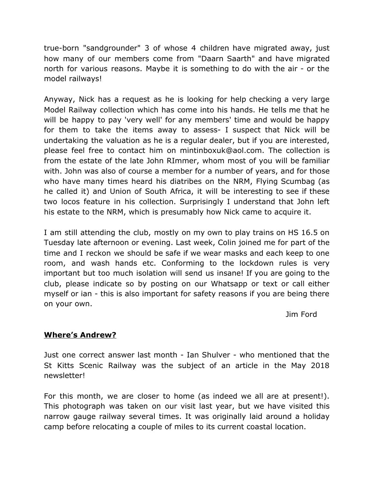true-born "sandgrounder" 3 of whose 4 children have migrated away, just how many of our members come from "Daarn Saarth" and have migrated north for various reasons. Maybe it is something to do with the air - or the model railways!

Anyway, Nick has a request as he is looking for help checking a very large Model Railway collection which has come into his hands. He tells me that he will be happy to pay 'very well' for any members' time and would be happy for them to take the items away to assess- I suspect that Nick will be undertaking the valuation as he is a regular dealer, but if you are interested, please feel free to contact him on mintinboxuk@aol.com. The collection is from the estate of the late John RImmer, whom most of you will be familiar with. John was also of course a member for a number of years, and for those who have many times heard his diatribes on the NRM, Flying Scumbag (as he called it) and Union of South Africa, it will be interesting to see if these two locos feature in his collection. Surprisingly I understand that John left his estate to the NRM, which is presumably how Nick came to acquire it.

I am still attending the club, mostly on my own to play trains on HS 16.5 on Tuesday late afternoon or evening. Last week, Colin joined me for part of the time and I reckon we should be safe if we wear masks and each keep to one room, and wash hands etc. Conforming to the lockdown rules is very important but too much isolation will send us insane! If you are going to the club, please indicate so by posting on our Whatsapp or text or call either myself or ian - this is also important for safety reasons if you are being there on your own.

Jim Ford

# **Where's Andrew?**

Just one correct answer last month - Ian Shulver - who mentioned that the St Kitts Scenic Railway was the subject of an article in the May 2018 newsletter!

For this month, we are closer to home (as indeed we all are at present!). This photograph was taken on our visit last year, but we have visited this narrow gauge railway several times. It was originally laid around a holiday camp before relocating a couple of miles to its current coastal location.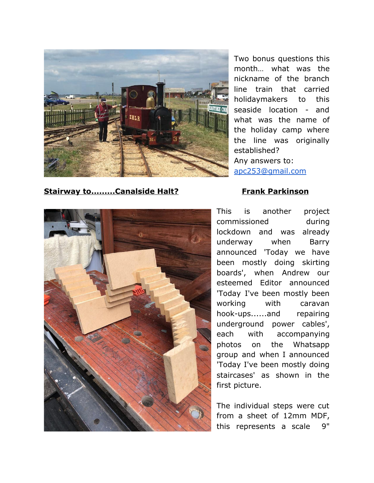

**Stairway to.........Canalside Halt? Frank Parkinson** 

Two bonus questions this month… what was the nickname of the branch line train that carried holidaymakers to this seaside location - and what was the name of the holiday camp where the line was originally established? Any answers to: [apc253@gmail.com](mailto:apc253@gmail.com)



This is another project commissioned during lockdown and was already underway when Barry announced 'Today we have been mostly doing skirting boards', when Andrew our esteemed Editor announced 'Today I've been mostly been working with caravan hook-ups......and repairing underground power cables', each with accompanying photos on the Whatsapp group and when I announced 'Today I've been mostly doing staircases' as shown in the first picture.

The individual steps were cut from a sheet of 12mm MDF, this represents a scale 9"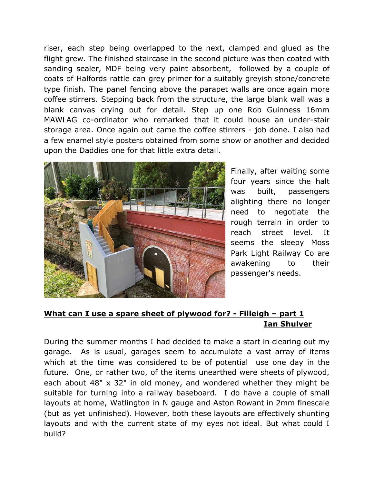riser, each step being overlapped to the next, clamped and glued as the flight grew. The finished staircase in the second picture was then coated with sanding sealer, MDF being very paint absorbent, followed by a couple of coats of Halfords rattle can grey primer for a suitably greyish stone/concrete type finish. The panel fencing above the parapet walls are once again more coffee stirrers. Stepping back from the structure, the large blank wall was a blank canvas crying out for detail. Step up one Rob Guinness 16mm MAWLAG co-ordinator who remarked that it could house an under-stair storage area. Once again out came the coffee stirrers - job done. I also had a few enamel style posters obtained from some show or another and decided upon the Daddies one for that little extra detail.



Finally, after waiting some four years since the halt was built, passengers alighting there no longer need to negotiate the rough terrain in order to reach street level. It seems the sleepy Moss Park Light Railway Co are awakening to their passenger's needs.

# **What can I use a spare sheet of plywood for? - Filleigh – part 1 Ian Shulver**

During the summer months I had decided to make a start in clearing out my garage. As is usual, garages seem to accumulate a vast array of items which at the time was considered to be of potential use one day in the future. One, or rather two, of the items unearthed were sheets of plywood, each about 48" x 32" in old money, and wondered whether they might be suitable for turning into a railway baseboard. I do have a couple of small layouts at home, Watlington in N gauge and Aston Rowant in 2mm finescale (but as yet unfinished). However, both these layouts are effectively shunting layouts and with the current state of my eyes not ideal. But what could I build?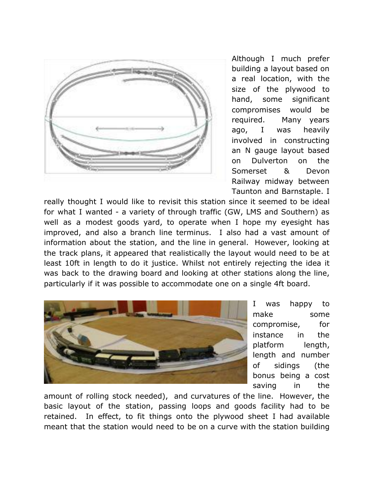

Although I much prefer building a layout based on a real location, with the size of the plywood to hand, some significant compromises would be required. Many years ago, I was heavily involved in constructing an N gauge layout based on Dulverton on the Somerset & Devon Railway midway between Taunton and Barnstaple. I

really thought I would like to revisit this station since it seemed to be ideal for what I wanted - a variety of through traffic (GW, LMS and Southern) as well as a modest goods yard, to operate when I hope my eyesight has improved, and also a branch line terminus. I also had a vast amount of information about the station, and the line in general. However, looking at the track plans, it appeared that realistically the layout would need to be at least 10ft in length to do it justice. Whilst not entirely rejecting the idea it was back to the drawing board and looking at other stations along the line, particularly if it was possible to accommodate one on a single 4ft board.



I was happy to make some compromise, for instance in the platform length, length and number of sidings (the bonus being a cost saving in the

amount of rolling stock needed), and curvatures of the line. However, the basic layout of the station, passing loops and goods facility had to be retained. In effect, to fit things onto the plywood sheet I had available meant that the station would need to be on a curve with the station building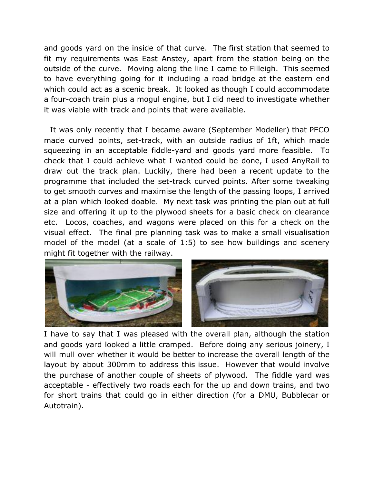and goods yard on the inside of that curve. The first station that seemed to fit my requirements was East Anstey, apart from the station being on the outside of the curve. Moving along the line I came to Filleigh. This seemed to have everything going for it including a road bridge at the eastern end which could act as a scenic break. It looked as though I could accommodate a four-coach train plus a mogul engine, but I did need to investigate whether it was viable with track and points that were available.

It was only recently that I became aware (September Modeller) that PECO made curved points, set-track, with an outside radius of 1ft, which made squeezing in an acceptable fiddle-yard and goods yard more feasible. To check that I could achieve what I wanted could be done, I used AnyRail to draw out the track plan. Luckily, there had been a recent update to the programme that included the set-track curved points. After some tweaking to get smooth curves and maximise the length of the passing loops, I arrived at a plan which looked doable. My next task was printing the plan out at full size and offering it up to the plywood sheets for a basic check on clearance etc. Locos, coaches, and wagons were placed on this for a check on the visual effect. The final pre planning task was to make a small visualisation model of the model (at a scale of 1:5) to see how buildings and scenery might fit together with the railway.



I have to say that I was pleased with the overall plan, although the station and goods yard looked a little cramped. Before doing any serious joinery, I will mull over whether it would be better to increase the overall length of the layout by about 300mm to address this issue. However that would involve the purchase of another couple of sheets of plywood. The fiddle yard was acceptable - effectively two roads each for the up and down trains, and two for short trains that could go in either direction (for a DMU, Bubblecar or Autotrain).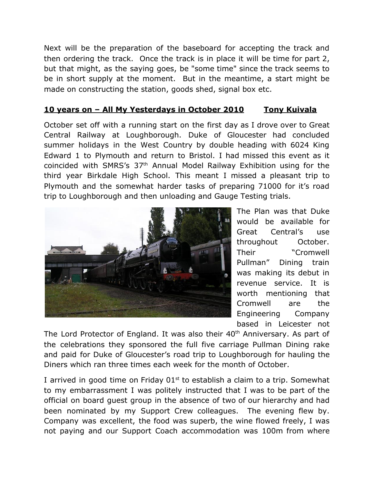Next will be the preparation of the baseboard for accepting the track and then ordering the track. Once the track is in place it will be time for part 2, but that might, as the saying goes, be "some time" since the track seems to be in short supply at the moment. But in the meantime, a start might be made on constructing the station, goods shed, signal box etc.

#### **10 years on – All My Yesterdays in October 2010 Tony Kuivala**

October set off with a running start on the first day as I drove over to Great Central Railway at Loughborough. Duke of Gloucester had concluded summer holidays in the West Country by double heading with 6024 King Edward 1 to Plymouth and return to Bristol. I had missed this event as it coincided with SMRS's 37th Annual Model Railway Exhibition using for the third year Birkdale High School. This meant I missed a pleasant trip to Plymouth and the somewhat harder tasks of preparing 71000 for it's road trip to Loughborough and then unloading and Gauge Testing trials.



The Plan was that Duke would be available for Great Central's use throughout October. Their "Cromwell Pullman" Dining train was making its debut in revenue service. It is worth mentioning that Cromwell are the Engineering Company based in Leicester not

The Lord Protector of England. It was also their 40<sup>th</sup> Anniversary. As part of the celebrations they sponsored the full five carriage Pullman Dining rake and paid for Duke of Gloucester's road trip to Loughborough for hauling the Diners which ran three times each week for the month of October.

I arrived in good time on Friday  $01<sup>st</sup>$  to establish a claim to a trip. Somewhat to my embarrassment I was politely instructed that I was to be part of the official on board guest group in the absence of two of our hierarchy and had been nominated by my Support Crew colleagues. The evening flew by. Company was excellent, the food was superb, the wine flowed freely, I was not paying and our Support Coach accommodation was 100m from where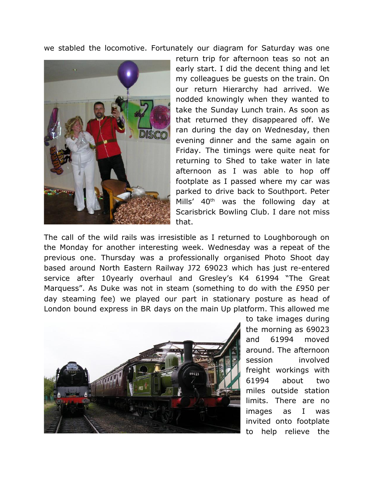we stabled the locomotive. Fortunately our diagram for Saturday was one



return trip for afternoon teas so not an early start. I did the decent thing and let my colleagues be guests on the train. On our return Hierarchy had arrived. We nodded knowingly when they wanted to take the Sunday Lunch train. As soon as that returned they disappeared off. We ran during the day on Wednesday, then evening dinner and the same again on Friday. The timings were quite neat for returning to Shed to take water in late afternoon as I was able to hop off footplate as I passed where my car was parked to drive back to Southport. Peter Mills' 40<sup>th</sup> was the following day at Scarisbrick Bowling Club. I dare not miss that.

The call of the wild rails was irresistible as I returned to Loughborough on the Monday for another interesting week. Wednesday was a repeat of the previous one. Thursday was a professionally organised Photo Shoot day based around North Eastern Railway J72 69023 which has just re-entered service after 10yearly overhaul and Gresley's K4 61994 "The Great Marquess". As Duke was not in steam (something to do with the £950 per day steaming fee) we played our part in stationary posture as head of London bound express in BR days on the main Up platform. This allowed me



to take images during the morning as 69023 and 61994 moved around. The afternoon session involved freight workings with 61994 about two miles outside station limits. There are no images as I was invited onto footplate to help relieve the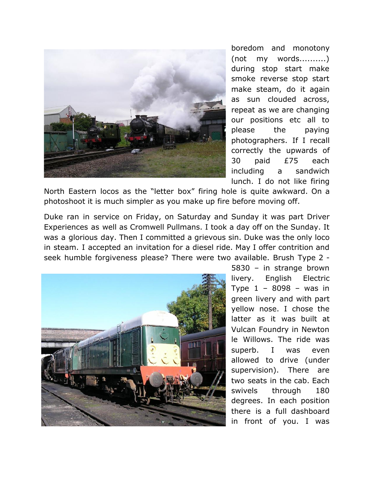

boredom and monotony (not my words..........) during stop start make smoke reverse stop start make steam, do it again as sun clouded across, repeat as we are changing our positions etc all to please the paying photographers. If I recall correctly the upwards of 30 paid £75 each including a sandwich lunch. I do not like firing

North Eastern locos as the "letter box" firing hole is quite awkward. On a photoshoot it is much simpler as you make up fire before moving off.

Duke ran in service on Friday, on Saturday and Sunday it was part Driver Experiences as well as Cromwell Pullmans. I took a day off on the Sunday. It was a glorious day. Then I committed a grievous sin. Duke was the only loco in steam. I accepted an invitation for a diesel ride. May I offer contrition and seek humble forgiveness please? There were two available. Brush Type 2 -



5830 – in strange brown livery. English Electric Type 1 – 8098 – was in green livery and with part yellow nose. I chose the latter as it was built at Vulcan Foundry in Newton le Willows. The ride was superb. I was even allowed to drive (under supervision). There are two seats in the cab. Each swivels through 180 degrees. In each position there is a full dashboard in front of you. I was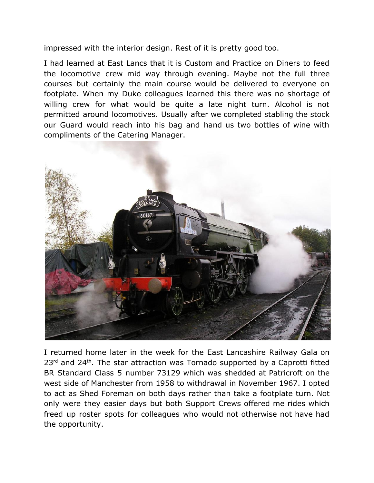impressed with the interior design. Rest of it is pretty good too.

I had learned at East Lancs that it is Custom and Practice on Diners to feed the locomotive crew mid way through evening. Maybe not the full three courses but certainly the main course would be delivered to everyone on footplate. When my Duke colleagues learned this there was no shortage of willing crew for what would be quite a late night turn. Alcohol is not permitted around locomotives. Usually after we completed stabling the stock our Guard would reach into his bag and hand us two bottles of wine with compliments of the Catering Manager.



I returned home later in the week for the East Lancashire Railway Gala on  $23<sup>rd</sup>$  and  $24<sup>th</sup>$ . The star attraction was Tornado supported by a Caprotti fitted BR Standard Class 5 number 73129 which was shedded at Patricroft on the west side of Manchester from 1958 to withdrawal in November 1967. I opted to act as Shed Foreman on both days rather than take a footplate turn. Not only were they easier days but both Support Crews offered me rides which freed up roster spots for colleagues who would not otherwise not have had the opportunity.